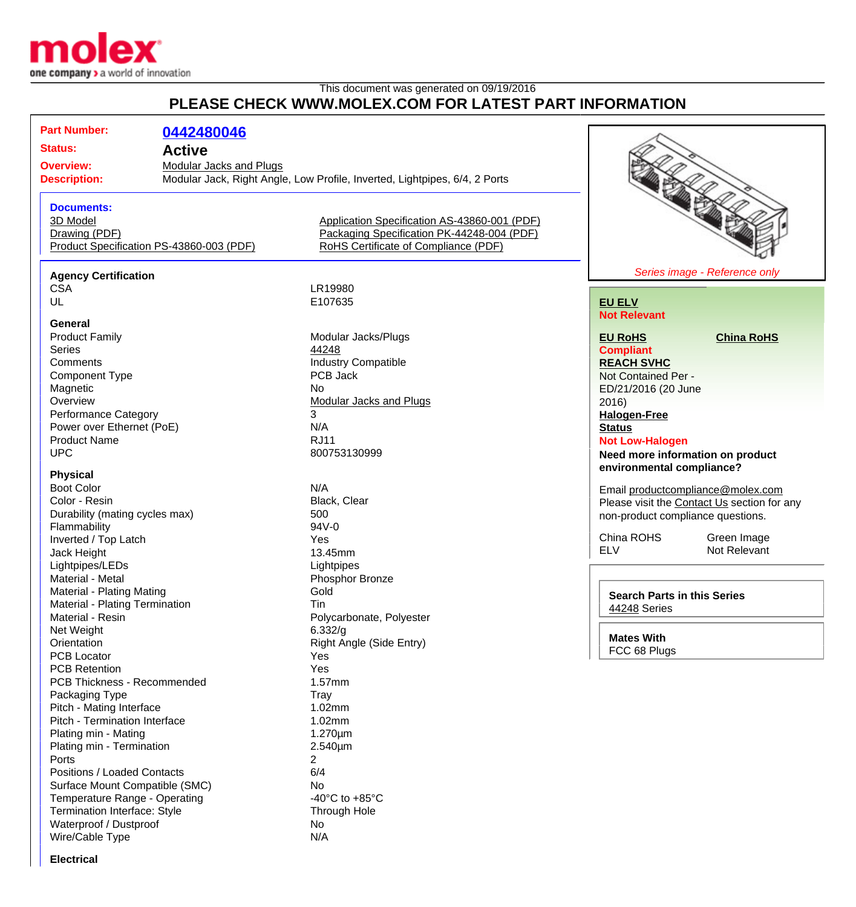

## This document was generated on 09/19/2016 **PLEASE CHECK WWW.MOLEX.COM FOR LATEST PART INFORMATION**

**Part Number: [0442480046](http://www.molex.com/molex/products/datasheet.jsp?part=active/0442480046_MODULAR_JACKS_PLUG.xml&channel=Products&Lang=en-US) Status: Active Overview:** [Modular Jacks and Plugs](http://www.molex.com/molex/products/group?channel=products&key=modular_plugs_jacks) **Description:** Modular Jack, Right Angle, Low Profile, Inverted, Lightpipes, 6/4, 2 Ports **Documents:** [3D Model](http://www.molex.com/molex/part/partModels.jsp?&prodLevel=part&series=&partNo=442480046&channel=Products) [Application Specification AS-43860-001 \(PDF\)](http://www.molex.com/pdm_docs/as/AS-43860-001.pdf) [Drawing \(PDF\)](http://www.molex.com/pdm_docs/sd/442480046_sd.pdf) [Packaging Specification PK-44248-004 \(PDF\)](http://www.molex.com/pdm_docs/pk/PK-44248-004.pdf) [Product Specification PS-43860-003 \(PDF\)](http://www.molex.com/pdm_docs/ps/PS-43860-003.pdf) [RoHS Certificate of Compliance \(PDF\)](http://www.molex.com/datasheets/rohspdf/0442480046_rohs.pdf) **Agency Certification** CSA LR19980<br>UL E107635 E107635 **General** Product Family **Modular Jacks/Plugs** Modular Jacks/Plugs Series **Andrew Series 1999 Comments Comments Industry Compatible** Component Type PCB Jack Magnetic No No.<br>
Overview Mo [Modular Jacks and Plugs](http://www.molex.com/molex/products/group?channel=products&key=modular_plugs_jacks) Performance Category 3 Power over Ethernet (PoE) N/A Product Name RJ11 UPC 800753130999 **Physical** Boot Color N/A<br>Color - Resin Note Network Color Color - Resin Note Network Clear Color - Resin Durability (mating cycles max) 500 Flammability 94V-0 Inverted / Top Latch Yes Jack Height **13.45mm** Lightpipes/LEDs Lightpipes Material - Metal **Phosphor Bronze** Material - Plating Mating **Gold** Material - Plating Termination Tin Material - Resin **Polycarbonate, Polyester** Polycarbonate, Polyester Net Weight 6.332/g<br>
Orientation 6.332/g<br>
Christian Right Ar Right Angle (Side Entry) PCB Locator Yes PCB Retention Yes PCB Thickness - Recommended 1.57mm Packaging Type Tray Pitch - Mating Interface 1.02mm Pitch - Termination Interface 1.02mm Plating min - Mating 1.270um Plating min - Termination 2.540um Ports 2 Positions / Loaded Contacts 6/4 Surface Mount Compatible (SMC) No Temperature Range - Operating  $-40^{\circ}$ C to +85°C Termination Interface: Style Through Hole Waterproof / Dustproof No Wire/Cable Type N/A **[EU ELV](http://www.molex.com/molex/common/staticLoader.jsp?fileName=/webcontent/literature/EU_RoHS.html#eurohs) [EU RoHS](http://www.molex.com/molex/common/staticLoader.jsp?fileName=/cmc_upload/0/000/-12/201/EU_RoHS.html#eurohs) [China RoHS](http://www.molex.com/molex/common/staticLoader.jsp?fileName=/cmc_upload/0/000/-12/201/china_RoHS.html#china) Compliant** 2016) **[Status](http://www.molex.com/molex/common/staticLoader.jsp?fileName=/webcontent/contact/halogen_free.html) Not Low-Halogen environmental compliance?**



# **Not Relevant**

**[REACH SVHC](http://www.molex.com/molex/common/staticLoader.jsp?fileName=/webcontent/contact/reach.html)** Not Contained Per - ED/21/2016 (20 June **[Halogen-Free](http://www.molex.com/molex/common/staticLoader.jsp?fileName=/webcontent/contact/halogen_free.html)**

## **Need more information on product**

Email [productcompliance@molex.com](mailto:productcompliance@molex.com) Please visit the [Contact Us](http://www.molex.com/molex/contact/mxcontact.jsp?channel=Contact Us&channelId=-7) section for any non-product compliance questions.

China ROHS Green Image ELV Not Relevant

**Search Parts in this Series** [44248](http://www.molex.com/molex/products/listview.jsp?query=44248&sType=s) Series

**Mates With** FCC 68 Plugs

**Electrical**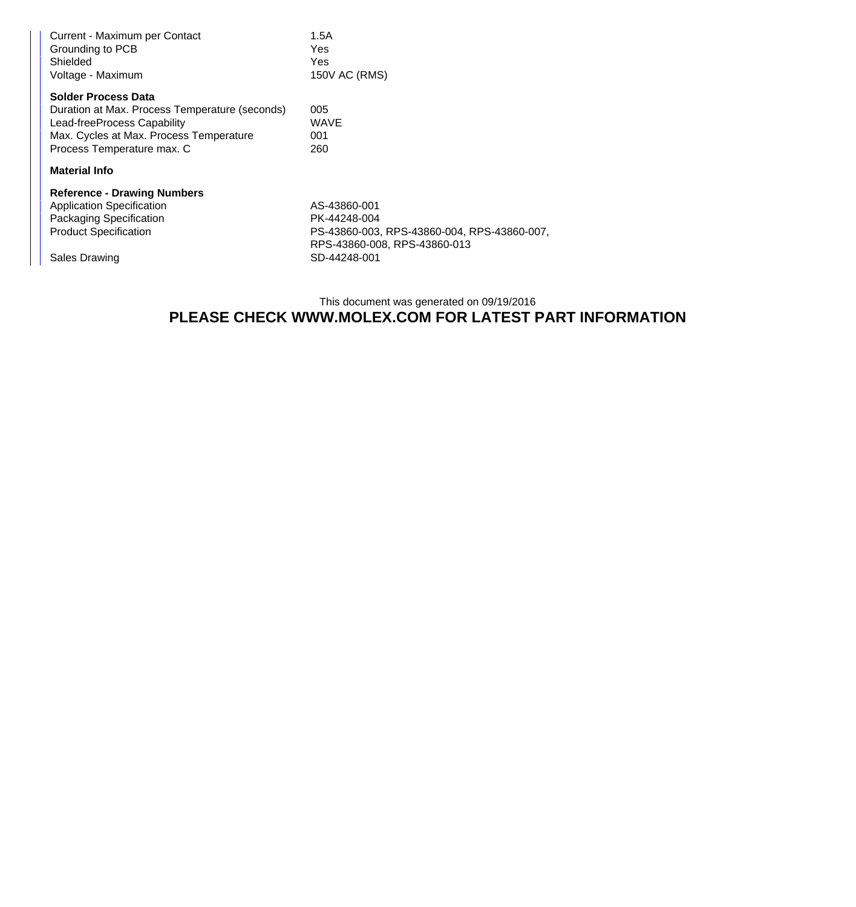| Current - Maximum per Contact<br>Grounding to PCB<br>Shielded<br>Voltage - Maximum                                                                                                   | 1.5A<br><b>Yes</b><br>Yes<br>150V AC (RMS)                                                                  |
|--------------------------------------------------------------------------------------------------------------------------------------------------------------------------------------|-------------------------------------------------------------------------------------------------------------|
| <b>Solder Process Data</b><br>Duration at Max. Process Temperature (seconds)<br>Lead-freeProcess Capability<br>Max. Cycles at Max. Process Temperature<br>Process Temperature max. C | 005<br><b>WAVE</b><br>001<br>260                                                                            |
| <b>Material Info</b>                                                                                                                                                                 |                                                                                                             |
| <b>Reference - Drawing Numbers</b><br><b>Application Specification</b><br>Packaging Specification<br><b>Product Specification</b>                                                    | AS-43860-001<br>PK-44248-004<br>PS-43860-003, RPS-43860-004, RPS-43860-007,<br>RPS-43860-008, RPS-43860-013 |
| Sales Drawing                                                                                                                                                                        | SD-44248-001                                                                                                |

### This document was generated on 09/19/2016 **PLEASE CHECK WWW.MOLEX.COM FOR LATEST PART INFORMATION**